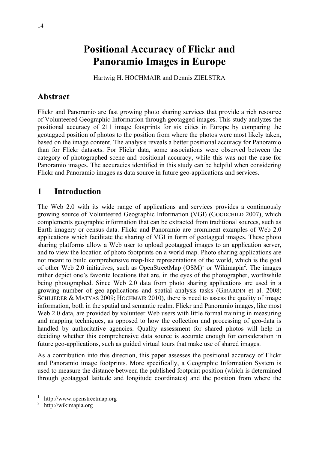# **Positional Accuracy of Flickr and Panoramio Images in Europe**

Hartwig H. HOCHMAIR and Dennis ZIELSTRA

# **Abstract**

Flickr and Panoramio are fast growing photo sharing services that provide a rich resource of Volunteered Geographic Information through geotagged images. This study analyzes the positional accuracy of 211 image footprints for six cities in Europe by comparing the geotagged position of photos to the position from where the photos were most likely taken, based on the image content. The analysis reveals a better positional accuracy for Panoramio than for Flickr datasets. For Flickr data, some associations were observed between the category of photographed scene and positional accuracy, while this was not the case for Panoramio images. The accuracies identified in this study can be helpful when considering Flickr and Panoramio images as data source in future geo-applications and services.

# **1 Introduction**

The Web 2.0 with its wide range of applications and services provides a continuously growing source of Volunteered Geographic Information (VGI) (GOODCHILD 2007), which complements geographic information that can be extracted from traditional sources, such as Earth imagery or census data. Flickr and Panoramio are prominent examples of Web 2.0 applications which facilitate the sharing of VGI in form of geotagged images. These photo sharing platforms allow a Web user to upload geotagged images to an application server, and to view the location of photo footprints on a world map. Photo sharing applications are not meant to build comprehensive map-like representations of the world, which is the goal of other Web 2.0 initiatives, such as OpenStreetMap  $(OSM)^1$  or Wikimapia<sup>2</sup>. The images rather depict one's favorite locations that are, in the eyes of the photographer, worthwhile being photographed. Since Web 2.0 data from photo sharing applications are used in a growing number of geo-applications and spatial analysis tasks (GIRARDIN et al. 2008; SCHLIEDER & MATYAS 2009; HOCHMAIR 2010), there is need to assess the quality of image information, both in the spatial and semantic realm. Flickr and Panoramio images, like most Web 2.0 data, are provided by volunteer Web users with little formal training in measuring and mapping techniques, as opposed to how the collection and processing of geo-data is handled by authoritative agencies. Quality assessment for shared photos will help in deciding whether this comprehensive data source is accurate enough for consideration in future geo-applications, such as guided virtual tours that make use of shared images.

As a contribution into this direction, this paper assesses the positional accuracy of Flickr and Panoramio image footprints. More specifically, a Geographic Information System is used to measure the distance between the published footprint position (which is determined through geotagged latitude and longitude coordinates) and the position from where the

 $\overline{a}$ 

<sup>1</sup> http://www.openstreetmap.org

<sup>&</sup>lt;sup>2</sup> http://wikimapia.org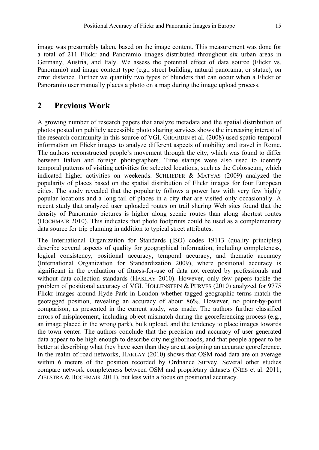image was presumably taken, based on the image content. This measurement was done for a total of 211 Flickr and Panoramio images distributed throughout six urban areas in Germany, Austria, and Italy. We assess the potential effect of data source (Flickr vs. Panoramio) and image content type (e.g., street building, natural panorama, or statue), on error distance. Further we quantify two types of blunders that can occur when a Flickr or Panoramio user manually places a photo on a map during the image upload process.

## **2 Previous Work**

A growing number of research papers that analyze metadata and the spatial distribution of photos posted on publicly accessible photo sharing services shows the increasing interest of the research community in this source of VGI. GIRARDIN et al. (2008) used spatio-temporal information on Flickr images to analyze different aspects of mobility and travel in Rome. The authors reconstructed people's movement through the city, which was found to differ between Italian and foreign photographers. Time stamps were also used to identify temporal patterns of visiting activities for selected locations, such as the Colosseum, which indicated higher activities on weekends. SCHLIEDER  $&$  MATYAS (2009) analyzed the popularity of places based on the spatial distribution of Flickr images for four European cities. The study revealed that the popularity follows a power law with very few highly popular locations and a long tail of places in a city that are visited only occasionally. A recent study that analyzed user uploaded routes on trail sharing Web sites found that the density of Panoramio pictures is higher along scenic routes than along shortest routes (HOCHMAIR 2010). This indicates that photo footprints could be used as a complementary data source for trip planning in addition to typical street attributes.

The International Organization for Standards (ISO) codes 19113 (quality principles) describe several aspects of quality for geographical information, including completeness, logical consistency, positional accuracy, temporal accuracy, and thematic accuracy (International Organization for Standardization 2009), where positional accuracy is significant in the evaluation of fitness-for-use of data not created by professionals and without data-collection standards (HAKLAY 2010). However, only few papers tackle the problem of positional accuracy of VGI. HOLLENSTEIN & PURVES (2010) analyzed for 9775 Flickr images around Hyde Park in London whether tagged geographic terms match the geotagged position, revealing an accuracy of about 86%. However, no point-by-point comparison, as presented in the current study, was made. The authors further classified errors of misplacement, including object mismatch during the georeferencing process (e.g., an image placed in the wrong park), bulk upload, and the tendency to place images towards the town center. The authors conclude that the precision and accuracy of user generated data appear to be high enough to describe city neighborhoods, and that people appear to be better at describing what they have seen than they are at assigning an accurate georeference. In the realm of road networks, HAKLAY (2010) shows that OSM road data are on average within 6 meters of the position recorded by Ordnance Survey. Several other studies compare network completeness between OSM and proprietary datasets (NEIS et al. 2011; ZIELSTRA & HOCHMAIR 2011), but less with a focus on positional accuracy.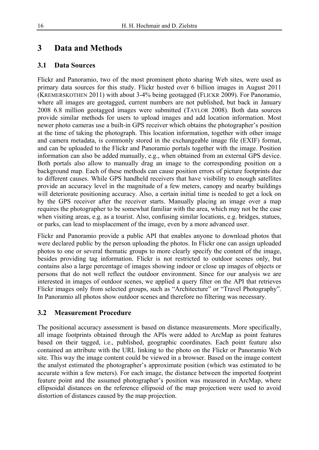# **3 Data and Methods**

#### **3.1 Data Sources**

Flickr and Panoramio, two of the most prominent photo sharing Web sites, were used as primary data sources for this study. Flickr hosted over 6 billion images in August 2011 (KREMERSKOTHEN 2011) with about 3-4% being geotagged (FLICKR 2009). For Panoramio, where all images are geotagged, current numbers are not published, but back in January 2008 6.8 million geotagged images were submitted (TAYLOR 2008). Both data sources provide similar methods for users to upload images and add location information. Most newer photo cameras use a built-in GPS receiver which obtains the photographer's position at the time of taking the photograph. This location information, together with other image and camera metadata, is commonly stored in the exchangeable image file (EXIF) format, and can be uploaded to the Flickr and Panoramio portals together with the image. Position information can also be added manually, e.g., when obtained from an external GPS device. Both portals also allow to manually drag an image to the corresponding position on a background map. Each of these methods can cause position errors of picture footprints due to different causes. While GPS handheld receivers that have visibility to enough satellites provide an accuracy level in the magnitude of a few meters, canopy and nearby buildings will deteriorate positioning accuracy. Also, a certain initial time is needed to get a lock on by the GPS receiver after the receiver starts. Manually placing an image over a map requires the photographer to be somewhat familiar with the area, which may not be the case when visiting areas, e.g. as a tourist. Also, confusing similar locations, e.g. bridges, statues, or parks, can lead to misplacement of the image, even by a more advanced user.

Flickr and Panoramio provide a public API that enables anyone to download photos that were declared public by the person uploading the photos. In Flickr one can assign uploaded photos to one or several thematic groups to more clearly specify the content of the image, besides providing tag information. Flickr is not restricted to outdoor scenes only, but contains also a large percentage of images showing indoor or close up images of objects or persons that do not well reflect the outdoor environment. Since for our analysis we are interested in images of outdoor scenes, we applied a query filter on the API that retrieves Flickr images only from selected groups, such as "Architecture" or "Travel Photography". In Panoramio all photos show outdoor scenes and therefore no filtering was necessary.

#### **3.2 Measurement Procedure**

The positional accuracy assessment is based on distance measurements. More specifically, all image footprints obtained through the APIs were added to ArcMap as point features based on their tagged, i.e., published, geographic coordinates. Each point feature also contained an attribute with the URL linking to the photo on the Flickr or Panoramio Web site. This way the image content could be viewed in a browser. Based on the image content the analyst estimated the photographer's approximate position (which was estimated to be accurate within a few meters). For each image, the distance between the imported footprint feature point and the assumed photographer's position was measured in ArcMap, where ellipsoidal distances on the reference ellipsoid of the map projection were used to avoid distortion of distances caused by the map projection.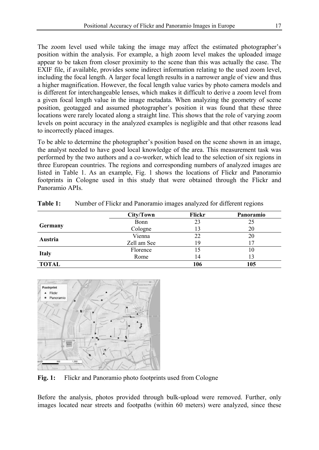The zoom level used while taking the image may affect the estimated photographer's position within the analysis. For example, a high zoom level makes the uploaded image appear to be taken from closer proximity to the scene than this was actually the case. The EXIF file, if available, provides some indirect information relating to the used zoom level, including the focal length. A larger focal length results in a narrower angle of view and thus a higher magnification. However, the focal length value varies by photo camera models and is different for interchangeable lenses, which makes it difficult to derive a zoom level from a given focal length value in the image metadata. When analyzing the geometry of scene position, geotagged and assumed photographer's position it was found that these three locations were rarely located along a straight line. This shows that the role of varying zoom levels on point accuracy in the analyzed examples is negligible and that other reasons lead to incorrectly placed images.

To be able to determine the photographer's position based on the scene shown in an image, the analyst needed to have good local knowledge of the area. This measurement task was performed by the two authors and a co-worker, which lead to the selection of six regions in three European countries. The regions and corresponding numbers of analyzed images are listed in Table 1. As an example, Fig. 1 shows the locations of Flickr and Panoramio footprints in Cologne used in this study that were obtained through the Flickr and Panoramio APIs.

|              | City/Town   | Flickr | Panoramio |
|--------------|-------------|--------|-----------|
|              | Bonn        | 23     | 25        |
| Germany      | Cologne     | 13     | 20        |
| Austria      | Vienna      | 22     | 20        |
|              | Zell am See | 19     |           |
|              | Florence    |        | 10        |
| <b>Italy</b> | Rome        | 14     | 13        |
| <b>TOTAL</b> |             | 106    | 105       |

**Table 1:** Number of Flickr and Panoramio images analyzed for different regions



Fig. 1: Flickr and Panoramio photo footprints used from Cologne

Before the analysis, photos provided through bulk-upload were removed. Further, only images located near streets and footpaths (within 60 meters) were analyzed, since these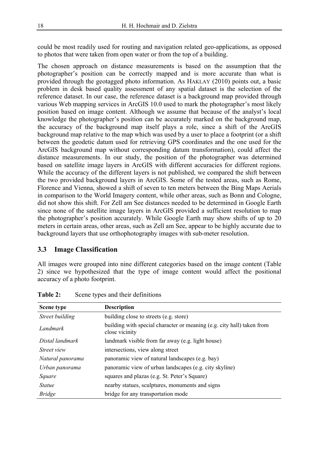could be most readily used for routing and navigation related geo-applications, as opposed to photos that were taken from open water or from the top of a building.

The chosen approach on distance measurements is based on the assumption that the photographer's position can be correctly mapped and is more accurate than what is provided through the geotagged photo information. As HAKLAY (2010) points out, a basic problem in desk based quality assessment of any spatial dataset is the selection of the reference dataset. In our case, the reference dataset is a background map provided through various Web mapping services in ArcGIS 10.0 used to mark the photographer's most likely position based on image content. Although we assume that because of the analyst's local knowledge the photographer's position can be accurately marked on the background map, the accuracy of the background map itself plays a role, since a shift of the ArcGIS background map relative to the map which was used by a user to place a footprint (or a shift between the geodetic datum used for retrieving GPS coordinates and the one used for the ArcGIS background map without corresponding datum transformation), could affect the distance measurements. In our study, the position of the photographer was determined based on satellite image layers in ArcGIS with different accuracies for different regions. While the accuracy of the different layers is not published, we compared the shift between the two provided background layers in ArcGIS. Some of the tested areas, such as Rome, Florence and Vienna, showed a shift of seven to ten meters between the Bing Maps Aerials in comparison to the World Imagery content, while other areas, such as Bonn and Cologne, did not show this shift. For Zell am See distances needed to be determined in Google Earth since none of the satellite image layers in ArcGIS provided a sufficient resolution to map the photographer's position accurately. While Google Earth may show shifts of up to 20 meters in certain areas, other areas, such as Zell am See, appear to be highly accurate due to background layers that use orthophotography images with sub-meter resolution.

#### **3.3 Image Classification**

All images were grouped into nine different categories based on the image content (Table 2) since we hypothesized that the type of image content would affect the positional accuracy of a photo footprint.

| Scene type         | <b>Description</b>                                                                       |  |  |  |
|--------------------|------------------------------------------------------------------------------------------|--|--|--|
| Street building    | building close to streets (e.g. store)                                                   |  |  |  |
| Landmark           | building with special character or meaning (e.g. city hall) taken from<br>close vicinity |  |  |  |
| Distal landmark    | landmark visible from far away (e.g. light house)                                        |  |  |  |
| <i>Street view</i> | intersections, view along street                                                         |  |  |  |
| Natural panorama   | panoramic view of natural landscapes (e.g. bay)                                          |  |  |  |
| Urban panorama     | panoramic view of urban landscapes (e.g. city skyline)                                   |  |  |  |
| Square             | squares and plazas (e.g. St. Peter's Square)                                             |  |  |  |
| <i>Statue</i>      | nearby statues, sculptures, monuments and signs                                          |  |  |  |
| <b>Bridge</b>      | bridge for any transportation mode                                                       |  |  |  |

Table 2: Scene types and their definitions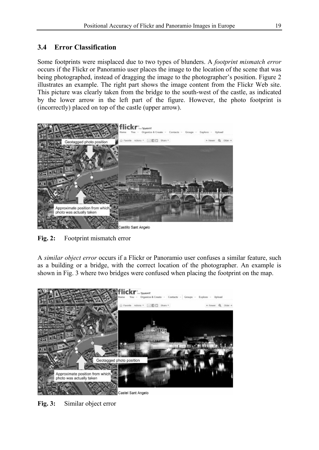### **3.4 Error Classification**

Some footprints were misplaced due to two types of blunders. A *footprint mismatch error* occurs if the Flickr or Panoramio user places the image to the location of the scene that was being photographed, instead of dragging the image to the photographer's position. Figure 2 illustrates an example. The right part shows the image content from the Flickr Web site. This picture was clearly taken from the bridge to the south-west of the castle, as indicated by the lower arrow in the left part of the figure. However, the photo footprint is (incorrectly) placed on top of the castle (upper arrow).



**Fig. 2:** Footprint mismatch error

A *similar object error* occurs if a Flickr or Panoramio user confuses a similar feature, such as a building or a bridge, with the correct location of the photographer. An example is shown in Fig. 3 where two bridges were confused when placing the footprint on the map.



**Fig. 3:** Similar object error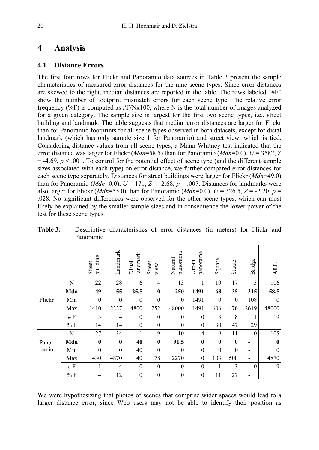### **4 Analysis**

#### **4.1 Distance Errors**

The first four rows for Flickr and Panoramio data sources in Table 3 present the sample characteristics of measured error distances for the nine scene types. Since error distances are skewed to the right, median distances are reported in the table. The rows labeled "#F" show the number of footprint mismatch errors for each scene type. The relative error frequency (%F) is computed as  $#F/Nx100$ , where N is the total number of images analyzed for a given category. The sample size is largest for the first two scene types, i.e., street building and landmark. The table suggests that median error distances are larger for Flickr than for Panoramio footprints for all scene types observed in both datasets, except for distal landmark (which has only sample size 1 for Panoramio) and street view, which is tied. Considering distance values from all scene types, a Mann-Whitney test indicated that the error distance was larger for Flickr (*Mdn*=58.5) than for Panoramio (*Mdn*=0.0), *U* = 3582, *Z*  $= -4.69, p < .001$ . To control for the potential effect of scene type (and the different sample sizes associated with each type) on error distance, we further compared error distances for each scene type separately. Distances for street buildings were larger for Flickr (*Mdn*=49.0) than for Panoramio ( $Mdn=0.0$ ),  $U = 171$ ,  $Z = -2.68$ ,  $p = .007$ . Distances for landmarks were also larger for Flickr (*Mdn*=55.0) than for Panoramio (*Mdn*=0.0),  $U = 326.5$ ,  $Z = -2.20$ ,  $p =$ .028. No significant differences were observed for the other scene types, which can most likely be explained by the smaller sample sizes and in consequence the lower power of the test for these scene types.

|        |               | building<br>Street | Landmark       | landmark<br>Distal | Street<br>view   | panorama<br>Natural | panorama<br>Urban | Square       | Statue   | Bridge   | ALL          |
|--------|---------------|--------------------|----------------|--------------------|------------------|---------------------|-------------------|--------------|----------|----------|--------------|
|        | N             | 22                 | 28             | 6                  | $\overline{4}$   | 13                  | 1                 | 10           | 17       | 5        | 106          |
|        | Mdn           | 49                 | 55             | 25.5               | $\bf{0}$         | 250                 | 1491              | 68           | 35       | 315      | 58.5         |
| Flickr | Min           | $\mathbf{0}$       | $\mathbf{0}$   | $\mathbf{0}$       | $\mathbf{0}$     | $\mathbf{0}$        | 1491              | $\mathbf{0}$ | $\theta$ | 108      | $\mathbf{0}$ |
|        | Max           | 1410               | 2227           | 4800               | 252              | 48000               | 1491              | 606          | 476      | 2619     | 48000        |
|        | $\#$ $\cal F$ | 3                  | $\overline{4}$ | $\mathbf{0}$       | $\mathbf{0}$     | $\theta$            | $\theta$          | 3            | 8        |          | 19           |
|        | %F            | 14                 | 14             | $\boldsymbol{0}$   | $\boldsymbol{0}$ | $\boldsymbol{0}$    | $\mathbf{0}$      | 30           | 47       | 29       |              |
|        | N             | 27                 | 34             | 1                  | 9                | 10                  | 4                 | 9            | 11       | $\theta$ | 105          |
| Pano-  | Mdn           | $\bf{0}$           | $\bf{0}$       | 40                 | $\bf{0}$         | 91.5                | $\bf{0}$          | $\mathbf{0}$ | $\bf{0}$ |          | $\bf{0}$     |
| ramio  | Min           | $\theta$           | $\mathbf{0}$   | 40                 | $\mathbf{0}$     | $\overline{0}$      | $\mathbf{0}$      | $\mathbf{0}$ | $\theta$ |          | $\theta$     |
|        | Max           | 430                | 4870           | 40                 | 78               | 2270                | $\mathbf{0}$      | 103          | 508      |          | 4870         |
|        | $\#$ $\cal F$ |                    | $\overline{4}$ | $\mathbf{0}$       | $\theta$         | $\mathbf{0}$        | $\mathbf{0}$      | 1            | 3        | $\theta$ | 9            |
|        | %F            | 4                  | 12             | $\mathbf{0}$       | $\mathbf{0}$     | $\mathbf{0}$        | $\overline{0}$    | 11           | 27       |          |              |

**Table 3:** Descriptive characteristics of error distances (in meters) for Flickr and Panoramio

We were hypothesizing that photos of scenes that comprise wider spaces would lead to a larger distance error, since Web users may not be able to identify their position as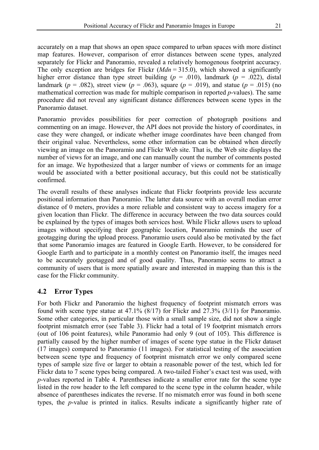accurately on a map that shows an open space compared to urban spaces with more distinct map features. However, comparison of error distances between scene types, analyzed separately for Flickr and Panoramio, revealed a relatively homogenous footprint accuracy. The only exception are bridges for Flickr  $(Mdn = 315.0)$ , which showed a significantly higher error distance than type street building  $(p = .010)$ , landmark  $(p = .022)$ , distal landmark ( $p = .082$ ), street view ( $p = .063$ ), square ( $p = .019$ ), and statue ( $p = .015$ ) (no mathematical correction was made for multiple comparison in reported *p*-values). The same procedure did not reveal any significant distance differences between scene types in the Panoramio dataset.

Panoramio provides possibilities for peer correction of photograph positions and commenting on an image. However, the API does not provide the history of coordinates, in case they were changed, or indicate whether image coordinates have been changed from their original value. Nevertheless, some other information can be obtained when directly viewing an image on the Panoramio and Flickr Web site. That is, the Web site displays the number of views for an image, and one can manually count the number of comments posted for an image. We hypothesized that a larger number of views or comments for an image would be associated with a better positional accuracy, but this could not be statistically confirmed.

The overall results of these analyses indicate that Flickr footprints provide less accurate positional information than Panoramio. The latter data source with an overall median error distance of 0 meters, provides a more reliable and consistent way to access imagery for a given location than Flickr. The difference in accuracy between the two data sources could be explained by the types of images both services host. While Flickr allows users to upload images without specifying their geographic location, Panoramio reminds the user of geotagging during the upload process. Panoramio users could also be motivated by the fact that some Panoramio images are featured in Google Earth. However, to be considered for Google Earth and to participate in a monthly contest on Panoramio itself, the images need to be accurately geotagged and of good quality. Thus, Panoramio seems to attract a community of users that is more spatially aware and interested in mapping than this is the case for the Flickr community.

#### **4.2 Error Types**

For both Flickr and Panoramio the highest frequency of footprint mismatch errors was found with scene type statue at 47.1% (8/17) for Flickr and 27.3% (3/11) for Panoramio. Some other categories, in particular those with a small sample size, did not show a single footprint mismatch error (see Table 3). Flickr had a total of 19 footprint mismatch errors (out of 106 point features), while Panoramio had only 9 (out of 105). This difference is partially caused by the higher number of images of scene type statue in the Flickr dataset (17 images) compared to Panoramio (11 images). For statistical testing of the association between scene type and frequency of footprint mismatch error we only compared scene types of sample size five or larger to obtain a reasonable power of the test, which led for Flickr data to 7 scene types being compared. A two-tailed Fisher's exact test was used, with *p*-values reported in Table 4. Parentheses indicate a smaller error rate for the scene type listed in the row header to the left compared to the scene type in the column header, while absence of parentheses indicates the reverse. If no mismatch error was found in both scene types, the *p*-value is printed in italics. Results indicate a significantly higher rate of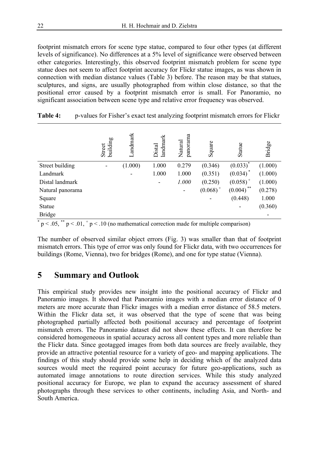footprint mismatch errors for scene type statue, compared to four other types (at different levels of significance). No differences at a 5% level of significance were observed between other categories. Interestingly, this observed footprint mismatch problem for scene type statue does not seem to affect footprint accuracy for Flickr statue images, as was shown in connection with median distance values (Table 3) before. The reason may be that statues, sculptures, and signs, are usually photographed from within close distance, so that the positional error caused by a footprint mismatch error is small. For Panoramio, no significant association between scene type and relative error frequency was observed.

|                  | Street<br>building       | Landmark                 | landmark<br>Distal | panorama<br>Natural | Square      | Statue        | Bridge  |
|------------------|--------------------------|--------------------------|--------------------|---------------------|-------------|---------------|---------|
| Street building  | $\overline{\phantom{a}}$ | (1.000)                  | 1.000              | 0.279               | (0.346)     | $(0.033)^*$   | (1.000) |
| Landmark         |                          | $\overline{\phantom{a}}$ | 1.000              | 1.000               | (0.351)     | $(0.034)^*$   | (1.000) |
| Distal landmark  |                          |                          | $\overline{a}$     | 1.000               | (0.250)     | $(0.058)^{+}$ | (1.000) |
| Natural panorama |                          |                          |                    |                     | $(0.068)^+$ | **<br>(0.004) | (0.278) |
| Square           |                          |                          |                    |                     |             | (0.448)       | 1.000   |
| Statue           |                          |                          |                    |                     |             |               | (0.360) |
| <b>Bridge</b>    |                          |                          |                    |                     |             |               |         |

| Table 4: |  |  | p-values for Fisher's exact test analyzing footprint mismatch errors for Flickr |
|----------|--|--|---------------------------------------------------------------------------------|
|----------|--|--|---------------------------------------------------------------------------------|

 $p < .05$ ,  $p < .01$ ,  $p < .10$  (no mathematical correction made for multiple comparison)

The number of observed similar object errors (Fig. 3) was smaller than that of footprint mismatch errors. This type of error was only found for Flickr data, with two occurrences for buildings (Rome, Vienna), two for bridges (Rome), and one for type statue (Vienna).

### **5 Summary and Outlook**

This empirical study provides new insight into the positional accuracy of Flickr and Panoramio images. It showed that Panoramio images with a median error distance of 0 meters are more accurate than Flickr images with a median error distance of 58.5 meters. Within the Flickr data set, it was observed that the type of scene that was being photographed partially affected both positional accuracy and percentage of footprint mismatch errors. The Panoramio dataset did not show these effects. It can therefore be considered homogeneous in spatial accuracy across all content types and more reliable than the Flickr data. Since geotagged images from both data sources are freely available, they provide an attractive potential resource for a variety of geo- and mapping applications. The findings of this study should provide some help in deciding which of the analyzed data sources would meet the required point accuracy for future geo-applications, such as automated image annotations to route direction services. While this study analyzed positional accuracy for Europe, we plan to expand the accuracy assessment of shared photographs through these services to other continents, including Asia, and North- and South America.